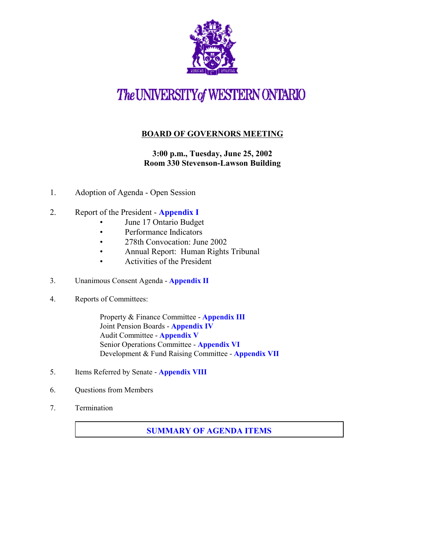

# The UNIVERSITY of WESTERN ONTARIO

## **BOARD OF GOVERNORS MEETING**

## **3:00 p.m., Tuesday, June 25, 2002 Room 330 Stevenson-Lawson Building**

- 1. Adoption of Agenda Open Session
- 2. Report of the President **[Appendix](http://www.uwo.ca/univsec/board/minutes/2002/r0206_Pres1.htm) I**
	- June 17 Ontario Budget
	- Performance Indicators
	- 278th Convocation: June 2002
	- Annual Report: Human Rights Tribunal
	- Activities of the President
- 3. Unanimous Consent Agenda **[Appendix II](http://www.uwo.ca/univsec/board/minutes/2002/r0206_consent.pdf)**
- 4. Reports of Committees:

Property & Finance Committee - **[Appendix III](http://www.uwo.ca/univsec/board/minutes/2002/r0206_pf.pdf)** Joint Pension Boards - **[Appendix IV](http://www.uwo.ca/univsec/board/minutes/2002/r0206_pen.pdf)** Audit Committee - **[Appendix V](http://www.uwo.ca/univsec/board/minutes/2002/r0206_aud.pdf)** Senior Operations Committee - **[Appendix VI](http://www.uwo.ca/univsec/board/minutes/2002/r0206_sr.pdf)** Development & Fund Raising Committee - **[Appendix VII](http://www.uwo.ca/univsec/board/minutes/2002/r0206_dev.pdf)**

- 5. Items Referred by Senate **[Appendix VIII](http://www.uwo.ca/univsec/board/minutes/2002/r0206_sen.pdf)**
- 6. Questions from Members
- 7. Termination

#### **[SUMMARY OF AGENDA ITEMS](#page-1-0)**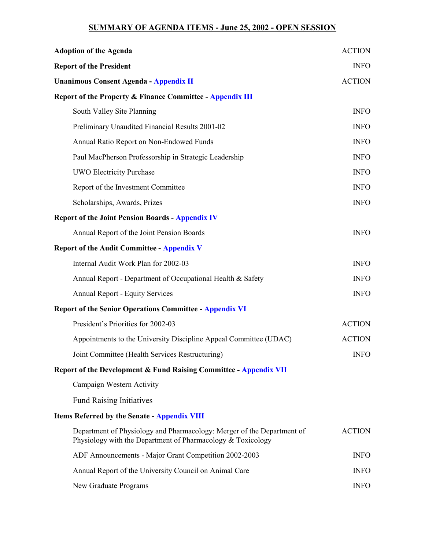### **SUMMARY OF AGENDA ITEMS - June 25, 2002 - OPEN SESSION**

<span id="page-1-0"></span>

| <b>Adoption of the Agenda</b>                                                                                                         | <b>ACTION</b> |
|---------------------------------------------------------------------------------------------------------------------------------------|---------------|
| <b>Report of the President</b>                                                                                                        | <b>INFO</b>   |
| <b>Unanimous Consent Agenda - Appendix II</b>                                                                                         | <b>ACTION</b> |
| <b>Report of the Property &amp; Finance Committee - Appendix III</b>                                                                  |               |
| South Valley Site Planning                                                                                                            | <b>INFO</b>   |
| Preliminary Unaudited Financial Results 2001-02                                                                                       | <b>INFO</b>   |
| Annual Ratio Report on Non-Endowed Funds                                                                                              | <b>INFO</b>   |
| Paul MacPherson Professorship in Strategic Leadership                                                                                 | <b>INFO</b>   |
| <b>UWO Electricity Purchase</b>                                                                                                       | <b>INFO</b>   |
| Report of the Investment Committee                                                                                                    | <b>INFO</b>   |
| Scholarships, Awards, Prizes                                                                                                          | <b>INFO</b>   |
| <b>Report of the Joint Pension Boards - Appendix IV</b>                                                                               |               |
| Annual Report of the Joint Pension Boards                                                                                             | <b>INFO</b>   |
| <b>Report of the Audit Committee - Appendix V</b>                                                                                     |               |
| Internal Audit Work Plan for 2002-03                                                                                                  | <b>INFO</b>   |
| Annual Report - Department of Occupational Health & Safety                                                                            | <b>INFO</b>   |
| <b>Annual Report - Equity Services</b>                                                                                                | <b>INFO</b>   |
| <b>Report of the Senior Operations Committee - Appendix VI</b>                                                                        |               |
| President's Priorities for 2002-03                                                                                                    | <b>ACTION</b> |
| Appointments to the University Discipline Appeal Committee (UDAC)                                                                     | <b>ACTION</b> |
| Joint Committee (Health Services Restructuring)                                                                                       | <b>INFO</b>   |
| <b>Report of the Development &amp; Fund Raising Committee - Appendix VII</b>                                                          |               |
| Campaign Western Activity                                                                                                             |               |
| <b>Fund Raising Initiatives</b>                                                                                                       |               |
| <b>Items Referred by the Senate - Appendix VIII</b>                                                                                   |               |
| Department of Physiology and Pharmacology: Merger of the Department of<br>Physiology with the Department of Pharmacology & Toxicology | <b>ACTION</b> |
| ADF Announcements - Major Grant Competition 2002-2003                                                                                 | <b>INFO</b>   |
| Annual Report of the University Council on Animal Care                                                                                | <b>INFO</b>   |
| New Graduate Programs                                                                                                                 | <b>INFO</b>   |